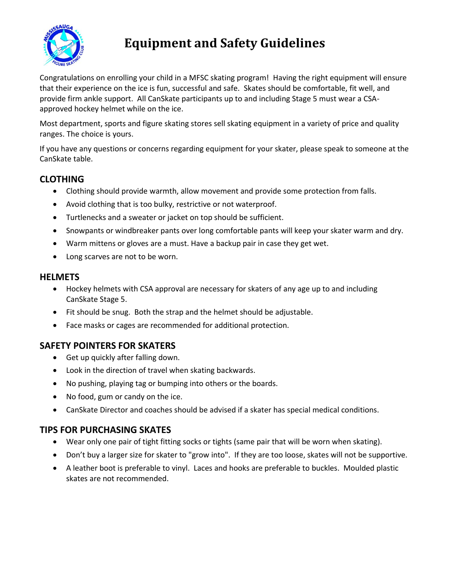

# **Equipment and Safety Guidelines**

Congratulations on enrolling your child in a MFSC skating program! Having the right equipment will ensure that their experience on the ice is fun, successful and safe. Skates should be comfortable, fit well, and provide firm ankle support. All CanSkate participants up to and including Stage 5 must wear a CSAapproved hockey helmet while on the ice.

Most department, sports and figure skating stores sell skating equipment in a variety of price and quality ranges. The choice is yours.

If you have any questions or concerns regarding equipment for your skater, please speak to someone at the CanSkate table.

#### **CLOTHING**

- Clothing should provide warmth, allow movement and provide some protection from falls.
- Avoid clothing that is too bulky, restrictive or not waterproof.
- Turtlenecks and a sweater or jacket on top should be sufficient.
- Snowpants or windbreaker pants over long comfortable pants will keep your skater warm and dry.
- Warm mittens or gloves are a must. Have a backup pair in case they get wet.
- Long scarves are not to be worn.

#### **HELMETS**

- Hockey helmets with CSA approval are necessary for skaters of any age up to and including CanSkate Stage 5.
- Fit should be snug. Both the strap and the helmet should be adjustable.
- Face masks or cages are recommended for additional protection.

### **SAFETY POINTERS FOR SKATERS**

- Get up quickly after falling down.
- Look in the direction of travel when skating backwards.
- No pushing, playing tag or bumping into others or the boards.
- No food, gum or candy on the ice.
- CanSkate Director and coaches should be advised if a skater has special medical conditions.

## **TIPS FOR PURCHASING SKATES**

- Wear only one pair of tight fitting socks or tights (same pair that will be worn when skating).
- Don't buy a larger size for skater to "grow into". If they are too loose, skates will not be supportive.
- A leather boot is preferable to vinyl. Laces and hooks are preferable to buckles. Moulded plastic skates are not recommended.